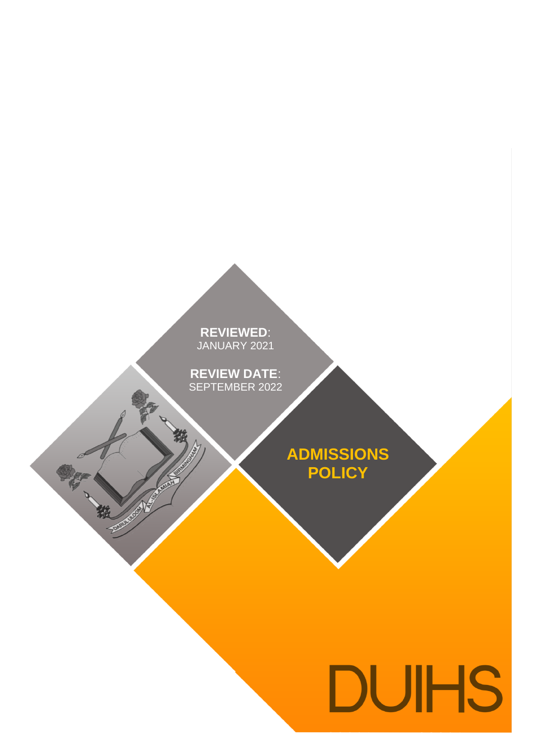**REVIEWED**: ANUARY 202 **REVIEWED**: JANUARY 2021

**REVIEW DATE**: PIEMBER 2 **REVIEW DATE**: SEPTEMBER 2022

中被

**ADMISSIONS POLICY**

# **DUIHS**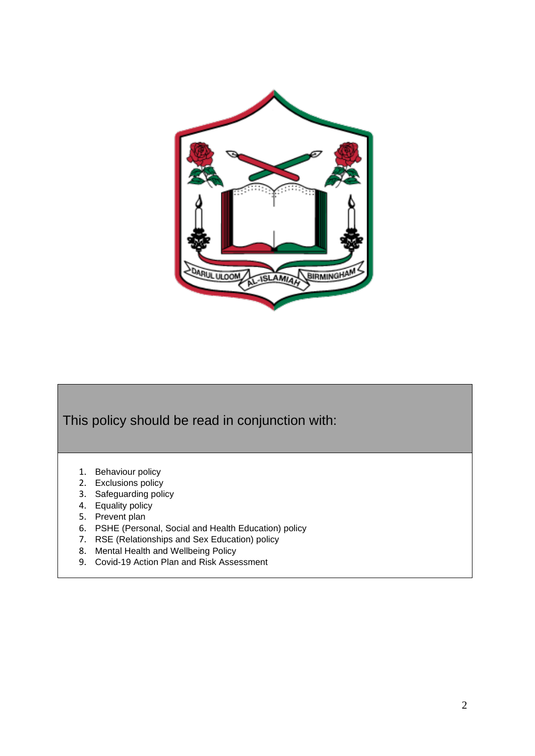

This policy should be read in conjunction with:

- 1. Behaviour policy
- 2. Exclusions policy
- 3. Safeguarding policy
- 4. Equality policy
- 5. Prevent plan
- 6. PSHE (Personal, Social and Health Education) policy
- 7. RSE (Relationships and Sex Education) policy
- 8. Mental Health and Wellbeing Policy
- 9. Covid-19 Action Plan and Risk Assessment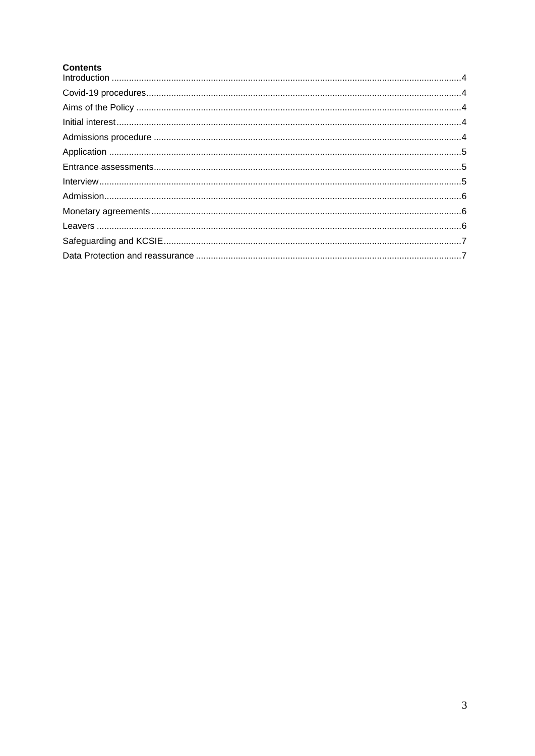# **Contents**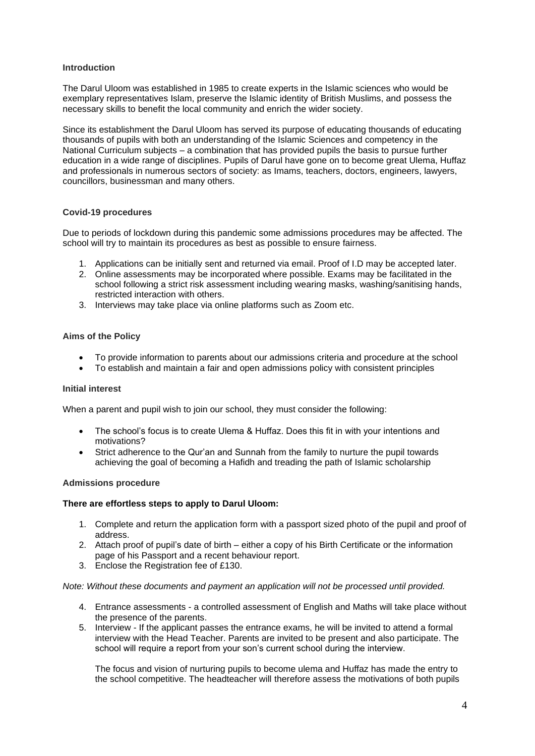### <span id="page-3-0"></span>**Introduction**

The Darul Uloom was established in 1985 to create experts in the Islamic sciences who would be exemplary representatives Islam, preserve the Islamic identity of British Muslims, and possess the necessary skills to benefit the local community and enrich the wider society.

Since its establishment the Darul Uloom has served its purpose of educating thousands of educating thousands of pupils with both an understanding of the Islamic Sciences and competency in the National Curriculum subjects – a combination that has provided pupils the basis to pursue further education in a wide range of disciplines. Pupils of Darul have gone on to become great Ulema, Huffaz and professionals in numerous sectors of society: as Imams, teachers, doctors, engineers, lawyers, councillors, businessman and many others.

## <span id="page-3-1"></span>**Covid-19 procedures**

Due to periods of lockdown during this pandemic some admissions procedures may be affected. The school will try to maintain its procedures as best as possible to ensure fairness.

- 1. Applications can be initially sent and returned via email. Proof of I.D may be accepted later.
- 2. Online assessments may be incorporated where possible. Exams may be facilitated in the school following a strict risk assessment including wearing masks, washing/sanitising hands, restricted interaction with others.
- 3. Interviews may take place via online platforms such as Zoom etc.

### <span id="page-3-2"></span>**Aims of the Policy**

- To provide information to parents about our admissions criteria and procedure at the school
- To establish and maintain a fair and open admissions policy with consistent principles

### <span id="page-3-3"></span>**Initial interest**

When a parent and pupil wish to join our school, they must consider the following:

- The school's focus is to create Ulema & Huffaz. Does this fit in with your intentions and motivations?
- Strict adherence to the Qur'an and Sunnah from the family to nurture the pupil towards achieving the goal of becoming a Hafidh and treading the path of Islamic scholarship

### <span id="page-3-4"></span>**Admissions procedure**

### **There are effortless steps to apply to Darul Uloom:**

- 1. Complete and return the application form with a passport sized photo of the pupil and proof of address.
- 2. Attach proof of pupil's date of birth either a copy of his Birth Certificate or the information page of his Passport and a recent behaviour report.
- 3. Enclose the Registration fee of £130.

### *Note: Without these documents and payment an application will not be processed until provided.*

- 4. Entrance assessments a controlled assessment of English and Maths will take place without the presence of the parents.
- 5. Interview If the applicant passes the entrance exams, he will be invited to attend a formal interview with the Head Teacher. Parents are invited to be present and also participate. The school will require a report from your son's current school during the interview.

The focus and vision of nurturing pupils to become ulema and Huffaz has made the entry to the school competitive. The headteacher will therefore assess the motivations of both pupils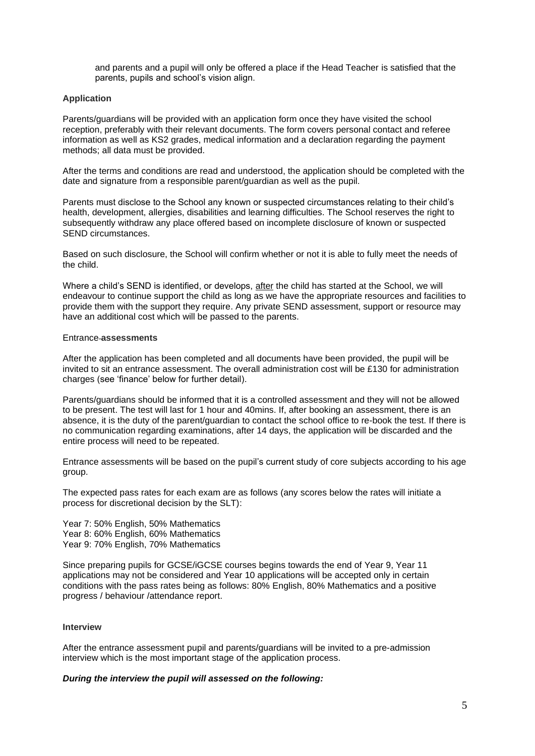and parents and a pupil will only be offered a place if the Head Teacher is satisfied that the parents, pupils and school's vision align.

### <span id="page-4-0"></span>**Application**

Parents/guardians will be provided with an application form once they have visited the school reception, preferably with their relevant documents. The form covers personal contact and referee information as well as KS2 grades, medical information and a declaration regarding the payment methods; all data must be provided.

After the terms and conditions are read and understood, the application should be completed with the date and signature from a responsible parent/guardian as well as the pupil.

Parents must disclose to the School any known or suspected circumstances relating to their child's health, development, allergies, disabilities and learning difficulties. The School reserves the right to subsequently withdraw any place offered based on incomplete disclosure of known or suspected SEND circumstances.

Based on such disclosure, the School will confirm whether or not it is able to fully meet the needs of the child.

Where a child's SEND is identified, or develops, after the child has started at the School, we will endeavour to continue support the child as long as we have the appropriate resources and facilities to provide them with the support they require. Any private SEND assessment, support or resource may have an additional cost which will be passed to the parents.

### <span id="page-4-1"></span>Entrance **assessments**

After the application has been completed and all documents have been provided, the pupil will be invited to sit an entrance assessment. The overall administration cost will be £130 for administration charges (see 'finance' below for further detail).

Parents/guardians should be informed that it is a controlled assessment and they will not be allowed to be present. The test will last for 1 hour and 40mins. If, after booking an assessment, there is an absence, it is the duty of the parent/guardian to contact the school office to re-book the test. If there is no communication regarding examinations, after 14 days, the application will be discarded and the entire process will need to be repeated.

Entrance assessments will be based on the pupil's current study of core subjects according to his age group.

The expected pass rates for each exam are as follows (any scores below the rates will initiate a process for discretional decision by the SLT):

Year 7: 50% English, 50% Mathematics Year 8: 60% English, 60% Mathematics Year 9: 70% English, 70% Mathematics

Since preparing pupils for GCSE/iGCSE courses begins towards the end of Year 9, Year 11 applications may not be considered and Year 10 applications will be accepted only in certain conditions with the pass rates being as follows: 80% English, 80% Mathematics and a positive progress / behaviour /attendance report.

### <span id="page-4-2"></span>**Interview**

After the entrance assessment pupil and parents/guardians will be invited to a pre-admission interview which is the most important stage of the application process.

### *During the interview the pupil will assessed on the following:*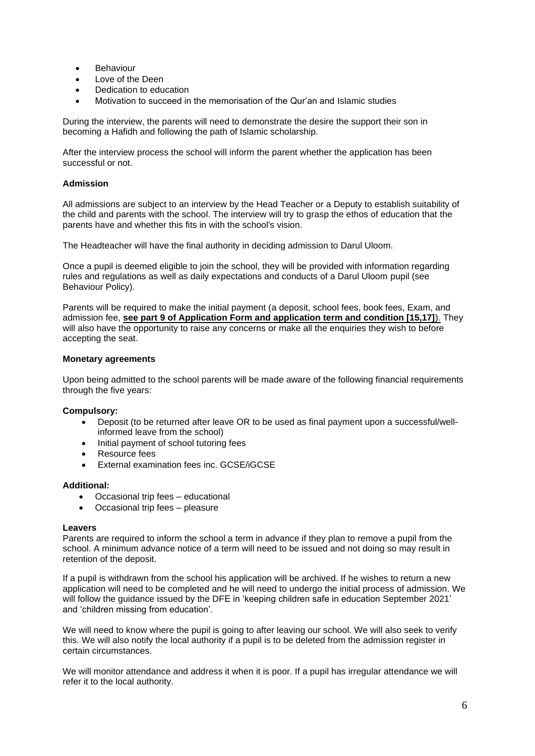- Behaviour
- Love of the Deen
- Dedication to education
- Motivation to succeed in the memorisation of the Qur'an and Islamic studies

During the interview, the parents will need to demonstrate the desire the support their son in becoming a Hafidh and following the path of Islamic scholarship.

After the interview process the school will inform the parent whether the application has been successful or not.

# <span id="page-5-0"></span>**Admission**

All admissions are subject to an interview by the Head Teacher or a Deputy to establish suitability of the child and parents with the school. The interview will try to grasp the ethos of education that the parents have and whether this fits in with the school's vision.

The Headteacher will have the final authority in deciding admission to Darul Uloom.

Once a pupil is deemed eligible to join the school, they will be provided with information regarding rules and regulations as well as daily expectations and conducts of a Darul Uloom pupil (see Behaviour Policy).

Parents will be required to make the initial payment (a deposit, school fees, book fees, Exam, and admission fee, **see part 9 of Application Form and application term and condition [15,17]**). They will also have the opportunity to raise any concerns or make all the enquiries they wish to before accepting the seat.

# <span id="page-5-1"></span>**Monetary agreements**

Upon being admitted to the school parents will be made aware of the following financial requirements through the five years:

# **Compulsory:**

- Deposit (to be returned after leave OR to be used as final payment upon a successful/wellinformed leave from the school)
- Initial payment of school tutoring fees
- Resource fees
- External examination fees inc. GCSE/iGCSE

# **Additional:**

- Occasional trip fees educational
- Occasional trip fees pleasure

### <span id="page-5-2"></span>**Leavers**

Parents are required to inform the school a term in advance if they plan to remove a pupil from the school. A minimum advance notice of a term will need to be issued and not doing so may result in retention of the deposit.

If a pupil is withdrawn from the school his application will be archived. If he wishes to return a new application will need to be completed and he will need to undergo the initial process of admission. We will follow the guidance issued by the DFE in 'keeping children safe in education September 2021' and 'children missing from education'.

We will need to know where the pupil is going to after leaving our school. We will also seek to verify this. We will also notify the local authority if a pupil is to be deleted from the admission register in certain circumstances.

We will monitor attendance and address it when it is poor. If a pupil has irregular attendance we will refer it to the local authority.